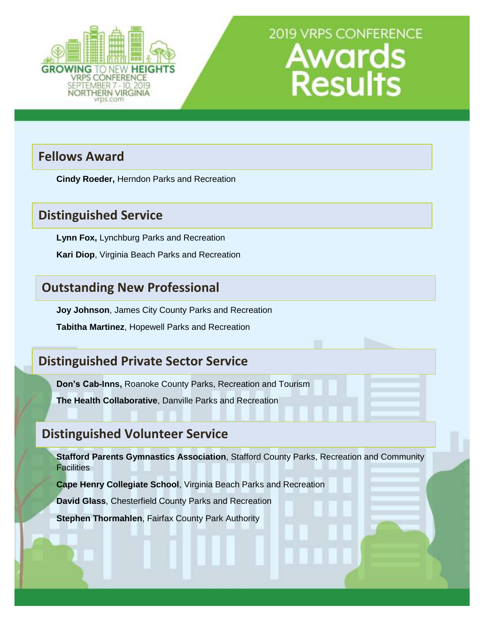

# **Fellows Award**

**Cindy Roeder,** Herndon Parks and Recreation

# **Distinguished Service**

**Lynn Fox,** Lynchburg Parks and Recreation

**Kari Diop**, Virginia Beach Parks and Recreation

# **Outstanding New Professional**

**Joy Johnson**, James City County Parks and Recreation

**Tabitha Martinez**, Hopewell Parks and Recreation

# **Distinguished Private Sector Service**

**Don's Cab-Inns,** Roanoke County Parks, Recreation and Tourism

**The Health Collaborative**, Danville Parks and Recreation

# **Distinguished Volunteer Service**

**Stafford Parents Gymnastics Association**, Stafford County Parks, Recreation and Community **Facilities** 

**Cape Henry Collegiate School**, Virginia Beach Parks and Recreation

**David Glass**, Chesterfield County Parks and Recreation

**Stephen Thormahlen**, Fairfax County Park Authority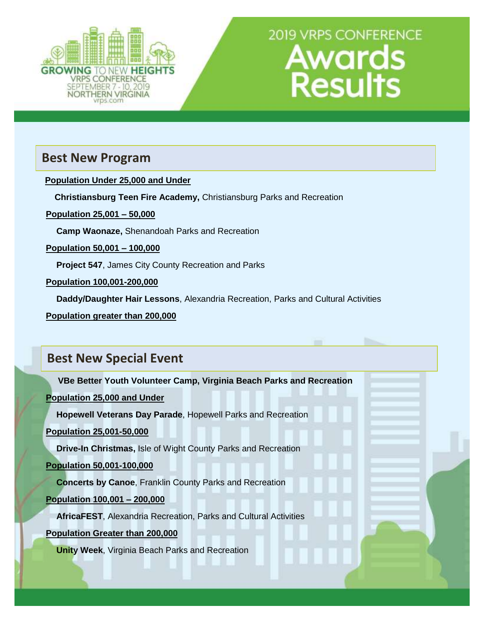

## **Best New Program**

 **Population Under 25,000 and Under**

**Christiansburg Teen Fire Academy,** Christiansburg Parks and Recreation

**Population 25,001 – 50,000**

**Camp Waonaze,** Shenandoah Parks and Recreation

**Population 50,001 – 100,000**

**Project 547**, James City County Recreation and Parks

**Population 100,001-200,000**

**Daddy/Daughter Hair Lessons**, Alexandria Recreation, Parks and Cultural Activities

**Population greater than 200,000**

# **Best New Special Event**

 **VBe Better Youth Volunteer Camp, Virginia Beach Parks and Recreation**

**Population 25,000 and Under**

**Hopewell Veterans Day Parade**, Hopewell Parks and Recreation

**Population 25,001-50,000**

**Drive-In Christmas,** Isle of Wight County Parks and Recreation

#### **Population 50,001-100,000**

**Concerts by Canoe**, Franklin County Parks and Recreation

**Population 100,001 – 200,000**

**AfricaFEST**, Alexandria Recreation, Parks and Cultural Activities

**Population Greater than 200,000**

**Unity Week**, Virginia Beach Parks and Recreation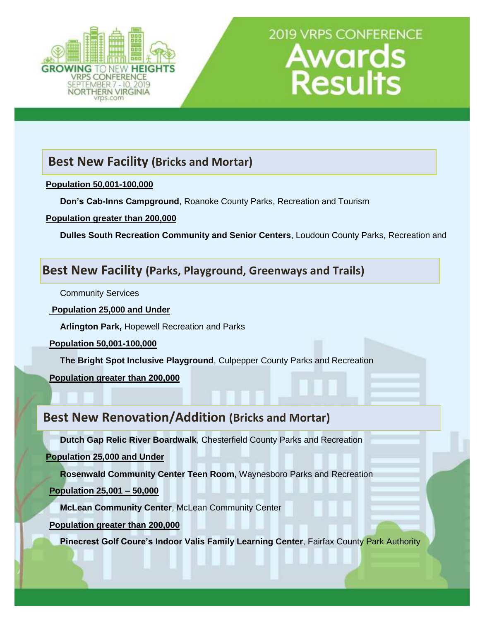

# **Best New Facility (Bricks and Mortar)**

#### **Population 50,001-100,000**

**Don's Cab-Inns Campground**, Roanoke County Parks, Recreation and Tourism

**Population greater than 200,000**

**Dulles South Recreation Community and Senior Centers**, Loudoun County Parks, Recreation and

## **Best New Facility (Parks, Playground, Greenways and Trails)**

Community Services

**Population 25,000 and Under**

**Arlington Park,** Hopewell Recreation and Parks

**Population 50,001-100,000**

**The Bright Spot Inclusive Playground**, Culpepper County Parks and Recreation

**Population greater than 200,000**

## **Best New Renovation/Addition (Bricks and Mortar)**

**Dutch Gap Relic River Boardwalk**, Chesterfield County Parks and Recreation

**Population 25,000 and Under**

**Rosenwald Community Center Teen Room,** Waynesboro Parks and Recreation

**Population 25,001 – 50,000**

**McLean Community Center**, McLean Community Center

**Population greater than 200,000**

**Pinecrest Golf Coure's Indoor Valis Family Learning Center**, Fairfax County Park Authority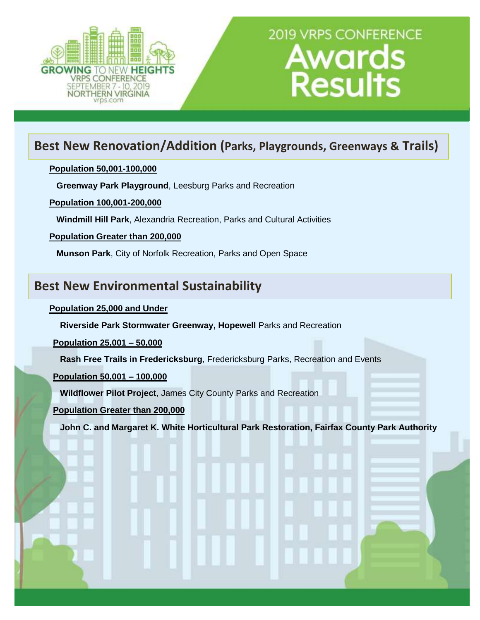

# **Best New Renovation/Addition (Parks, Playgrounds, Greenways & Trails)**

#### **Population 50,001-100,000**

**Greenway Park Playground**, Leesburg Parks and Recreation

**Population 100,001-200,000**

**Windmill Hill Park**, Alexandria Recreation, Parks and Cultural Activities

#### **Population Greater than 200,000**

**Munson Park**, City of Norfolk Recreation, Parks and Open Space

## **Best New Environmental Sustainability**

#### **Population 25,000 and Under**

**Riverside Park Stormwater Greenway, Hopewell** Parks and Recreation

**Population 25,001 – 50,000**

**Rash Free Trails in Fredericksburg**, Fredericksburg Parks, Recreation and Events

#### **Population 50,001 – 100,000**

**Wildflower Pilot Project**, James City County Parks and Recreation

**Population Greater than 200,000**

**John C. and Margaret K. White Horticultural Park Restoration, Fairfax County Park Authority**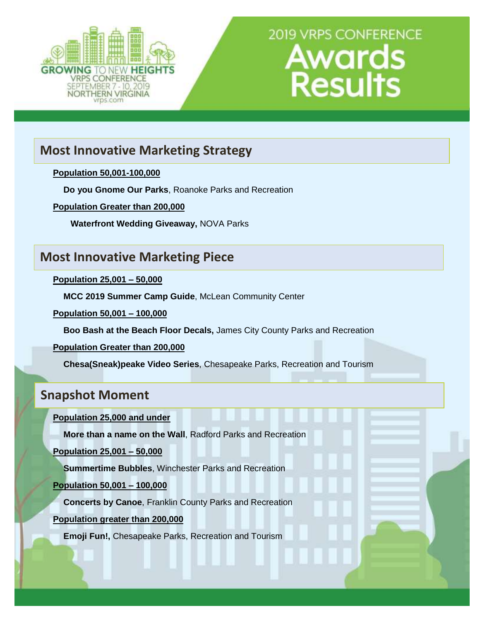

# **Most Innovative Marketing Strategy**

#### **Population 50,001-100,000**

**Do you Gnome Our Parks**, Roanoke Parks and Recreation

**Population Greater than 200,000**

**Waterfront Wedding Giveaway,** NOVA Parks

## **Most Innovative Marketing Piece**

**Population 25,001 – 50,000**

**MCC 2019 Summer Camp Guide**, McLean Community Center

**Population 50,001 – 100,000**

**Boo Bash at the Beach Floor Decals,** James City County Parks and Recreation

**Population Greater than 200,000**

**Chesa(Sneak)peake Video Series**, Chesapeake Parks, Recreation and Tourism

## **Snapshot Moment**

**Population 25,000 and under** 

**More than a name on the Wall**, Radford Parks and Recreation

**Population 25,001 – 50,000**

**Summertime Bubbles**, Winchester Parks and Recreation

**Population 50,001 – 100,000**

**Concerts by Canoe**, Franklin County Parks and Recreation

**Population greater than 200,000**

**Emoji Fun!,** Chesapeake Parks, Recreation and Tourism